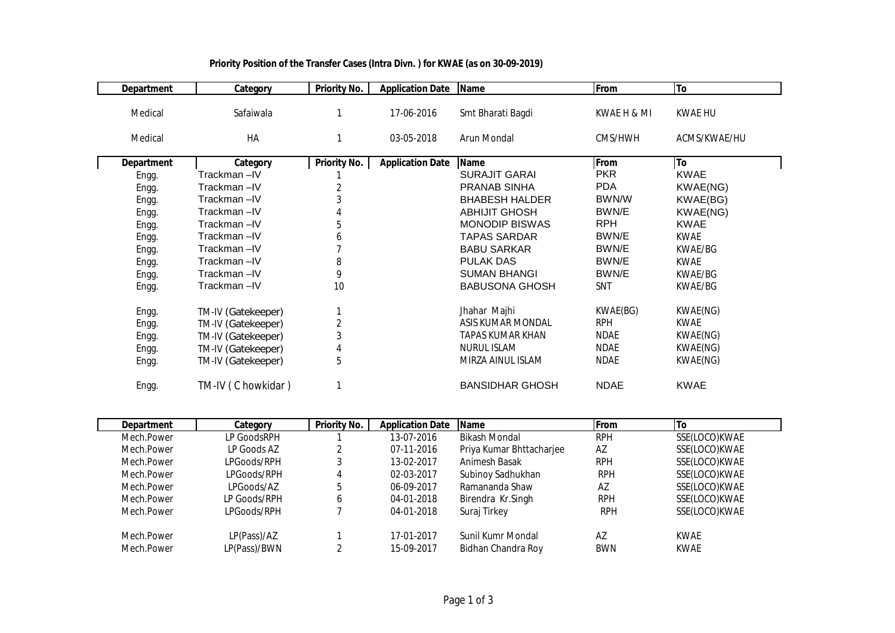| <b>Department</b> | Category           | <b>Priority No.</b> | <b>Application Date</b> | <b>Name</b>            | From        | To           |
|-------------------|--------------------|---------------------|-------------------------|------------------------|-------------|--------------|
| Medical           | Safaiwala          |                     | 17-06-2016              | Smt Bharati Bagdi      | KWAE H & MI | KWAE HU      |
| Medical           | HA                 |                     | 03-05-2018              | Arun Mondal            | CMS/HWH     | ACMS/KWAE/HU |
| <b>Department</b> | Category           | <b>Priority No.</b> | <b>Application Date</b> | <b>Name</b>            | From        | To           |
| Engg.             | Trackman-IV        |                     |                         | <b>SURAJIT GARAI</b>   | <b>PKR</b>  | <b>KWAE</b>  |
| Engg.             | Trackman-IV        | $\overline{2}$      |                         | PRANAB SINHA           | <b>PDA</b>  | KWAE(NG)     |
| Engg.             | Trackman-IV        | 3                   |                         | <b>BHABESH HALDER</b>  | BWN/W       | KWAE(BG)     |
| Engg.             | Trackman-IV        | 4                   |                         | <b>ABHIJIT GHOSH</b>   | BWN/E       | KWAE(NG)     |
| Engg.             | Trackman-IV        | 5                   |                         | <b>MONODIP BISWAS</b>  | <b>RPH</b>  | <b>KWAE</b>  |
| Engg.             | Trackman-IV        | 6                   |                         | <b>TAPAS SARDAR</b>    | BWN/E       | <b>KWAE</b>  |
| Engg.             | Trackman-IV        |                     |                         | <b>BABU SARKAR</b>     | BWN/E       | KWAE/BG      |
| Engg.             | Trackman-IV        | 8                   |                         | <b>PULAK DAS</b>       | BWN/E       | <b>KWAE</b>  |
| Engg.             | Trackman-IV        | 9                   |                         | <b>SUMAN BHANGI</b>    | BWN/E       | KWAE/BG      |
| Engg.             | Trackman-IV        | 10                  |                         | <b>BABUSONA GHOSH</b>  | SNT         | KWAE/BG      |
| Engg.             | TM-IV (Gatekeeper) |                     |                         | Jhahar Majhi           | KWAE(BG)    | KWAE(NG)     |
| Engg.             | TM-IV (Gatekeeper) | $\overline{2}$      |                         | ASIS KUMAR MONDAL      | <b>RPH</b>  | KWAE         |
| Engg.             | TM-IV (Gatekeeper) | 3                   |                         | TAPAS KUMAR KHAN       | <b>NDAE</b> | KWAE(NG)     |
| Engg.             | TM-IV (Gatekeeper) | 4                   |                         | <b>NURUL ISLAM</b>     | <b>NDAE</b> | KWAE(NG)     |
| Engg.             | TM-IV (Gatekeeper) | 5                   |                         | MIRZA AINUL ISLAM      | <b>NDAE</b> | KWAE(NG)     |
| Engg.             | TM-IV (C howkidar) |                     |                         | <b>BANSIDHAR GHOSH</b> | <b>NDAE</b> | <b>KWAE</b>  |

## **Priority Position of the Transfer Cases (Intra Divn. ) for KWAE (as on 30-09-2019)**

| <b>Department</b> | Category     | <b>Priority No.</b> | <b>Application Date</b> | <b>Name</b>              | <b>From</b> | 'To           |
|-------------------|--------------|---------------------|-------------------------|--------------------------|-------------|---------------|
| Mech.Power        | LP GoodsRPH  |                     | 13-07-2016              | <b>Bikash Mondal</b>     | <b>RPH</b>  | SSE(LOCO)KWAE |
| Mech.Power        | LP Goods AZ  |                     | 07-11-2016              | Priya Kumar Bhttacharjee | AZ          | SSE(LOCO)KWAE |
| Mech.Power        | LPGoods/RPH  |                     | 13-02-2017              | Animesh Basak            | <b>RPH</b>  | SSE(LOCO)KWAE |
| Mech.Power        | LPGoods/RPH  | 4                   | 02-03-2017              | Subinoy Sadhukhan        | <b>RPH</b>  | SSE(LOCO)KWAE |
| Mech.Power        | LPGoods/AZ   | 5                   | 06-09-2017              | Ramananda Shaw           | AZ          | SSE(LOCO)KWAE |
| Mech.Power        | LP Goods/RPH | 6                   | 04-01-2018              | Birendra Kr.Singh        | <b>RPH</b>  | SSE(LOCO)KWAE |
| Mech.Power        | LPGoods/RPH  |                     | 04-01-2018              | Suraj Tirkey             | <b>RPH</b>  | SSE(LOCO)KWAE |
| Mech.Power        | LP(Pass)/AZ  |                     | 17-01-2017              | Sunil Kumr Mondal        | AZ          | <b>KWAE</b>   |
| Mech.Power        | LP(Pass)/BWN | ົ                   | 15-09-2017              | Bidhan Chandra Roy       | <b>BWN</b>  | <b>KWAE</b>   |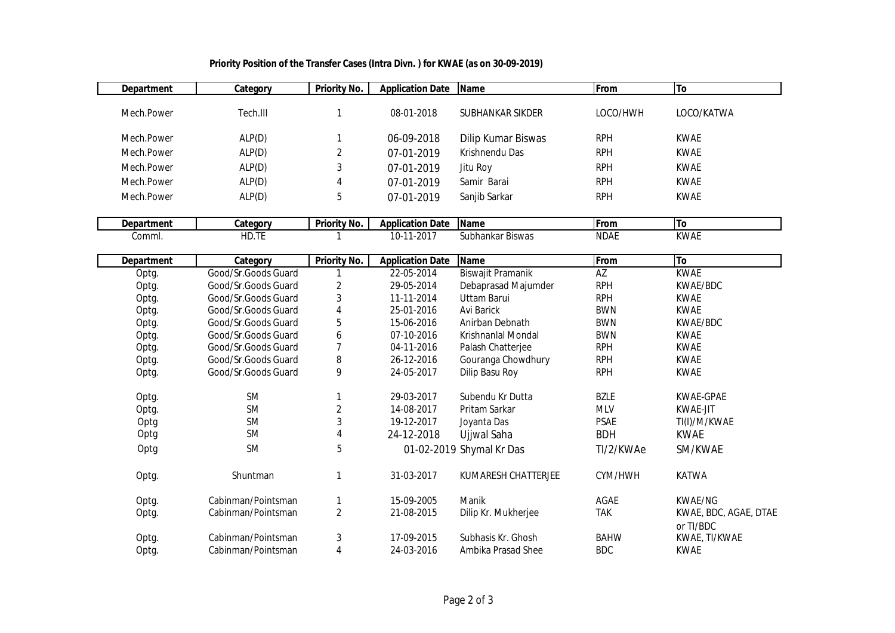| <b>Department</b> | Category            | <b>Priority No.</b>       | <b>Application Date</b> | Name                     | From        | To                                 |
|-------------------|---------------------|---------------------------|-------------------------|--------------------------|-------------|------------------------------------|
|                   |                     |                           |                         |                          |             |                                    |
| Mech.Power        | Tech.III            | 1                         | 08-01-2018              | SUBHANKAR SIKDER         | LOCO/HWH    | LOCO/KATWA                         |
| Mech.Power        | ALP(D)              | 1                         | 06-09-2018              | Dilip Kumar Biswas       | <b>RPH</b>  | <b>KWAE</b>                        |
| Mech.Power        | ALP(D)              | 2                         | 07-01-2019              | Krishnendu Das           | <b>RPH</b>  | <b>KWAE</b>                        |
| Mech.Power        | ALP(D)              | 3                         | 07-01-2019              | Jitu Roy                 | <b>RPH</b>  | <b>KWAE</b>                        |
| Mech.Power        | ALP(D)              | 4                         | 07-01-2019              | Samir Barai              | <b>RPH</b>  | <b>KWAE</b>                        |
| Mech.Power        | ALP(D)              | 5                         | 07-01-2019              | Sanjib Sarkar            | <b>RPH</b>  | <b>KWAE</b>                        |
| <b>Department</b> | Category            | <b>Priority No.</b>       | <b>Application Date</b> | <b>Name</b>              | From        | To                                 |
| Comml.            | HD.TE               |                           | $10-11-2017$            | Subhankar Biswas         | <b>NDAE</b> | <b>KWAE</b>                        |
|                   |                     |                           |                         |                          |             |                                    |
| <b>Department</b> | Category            | <b>Priority No.</b>       | <b>Application Date</b> | <b>Name</b>              | From        | To                                 |
| Optg.             | Good/Sr.Goods Guard | 1                         | 22-05-2014              | Biswajit Pramanik        | <b>AZ</b>   | <b>KWAE</b>                        |
| Optg.             | Good/Sr.Goods Guard | 2                         | 29-05-2014              | Debaprasad Majumder      | <b>RPH</b>  | KWAE/BDC                           |
| Optg.             | Good/Sr.Goods Guard | 3                         | 11-11-2014              | <b>Uttam Barui</b>       | <b>RPH</b>  | <b>KWAE</b>                        |
| Optg.             | Good/Sr.Goods Guard | 4                         | 25-01-2016              | <b>Avi Barick</b>        | <b>BWN</b>  | <b>KWAE</b>                        |
| Optg.             | Good/Sr.Goods Guard | 5                         | 15-06-2016              | Anirban Debnath          | <b>BWN</b>  | KWAE/BDC                           |
| Optg.             | Good/Sr.Goods Guard | 6                         | 07-10-2016              | Krishnanlal Mondal       | <b>BWN</b>  | <b>KWAE</b>                        |
| Optg.             | Good/Sr.Goods Guard | $\overline{\mathfrak{I}}$ | 04-11-2016              | Palash Chatterjee        | <b>RPH</b>  | <b>KWAE</b>                        |
| Optg.             | Good/Sr.Goods Guard | 8                         | 26-12-2016              | Gouranga Chowdhury       | <b>RPH</b>  | <b>KWAE</b>                        |
| Optg.             | Good/Sr.Goods Guard | 9                         | 24-05-2017              | Dilip Basu Roy           | <b>RPH</b>  | <b>KWAE</b>                        |
| Optg.             | SM                  | 1                         | 29-03-2017              | Subendu Kr Dutta         | <b>BZLE</b> | KWAE-GPAE                          |
| Optg.             | SM                  | $\overline{\mathbf{c}}$   | 14-08-2017              | Pritam Sarkar            | <b>MLV</b>  | <b>KWAE-JIT</b>                    |
| Optg              | <b>SM</b>           | 3                         | 19-12-2017              | Joyanta Das              | PSAE        | TI(I)/M/KWAE                       |
| Optg              | <b>SM</b>           | 4                         | 24-12-2018              | Ujjwal Saha              | <b>BDH</b>  | <b>KWAE</b>                        |
| Optg              | <b>SM</b>           | 5                         |                         | 01-02-2019 Shymal Kr Das | TI/2/KWAe   | SM/KWAE                            |
| Optg.             | Shuntman            | 1                         | 31-03-2017              | KUMARESH CHATTERJEE      | CYM/HWH     | <b>KATWA</b>                       |
| Optg.             | Cabinman/Pointsman  | 1                         | 15-09-2005              | Manik                    | AGAE        | <b>KWAE/NG</b>                     |
| Optg.             | Cabinman/Pointsman  | $\overline{2}$            | 21-08-2015              | Dilip Kr. Mukherjee      | <b>TAK</b>  | KWAE, BDC, AGAE, DTAE<br>or TI/BDC |
| Optg.             | Cabinman/Pointsman  | 3                         | 17-09-2015              | Subhasis Kr. Ghosh       | <b>BAHW</b> | KWAE, TI/KWAE                      |
| Optg.             | Cabinman/Pointsman  | $\overline{\mathbf{4}}$   | 24-03-2016              | Ambika Prasad Shee       | <b>BDC</b>  | <b>KWAE</b>                        |

## **Priority Position of the Transfer Cases (Intra Divn. ) for KWAE (as on 30-09-2019)**